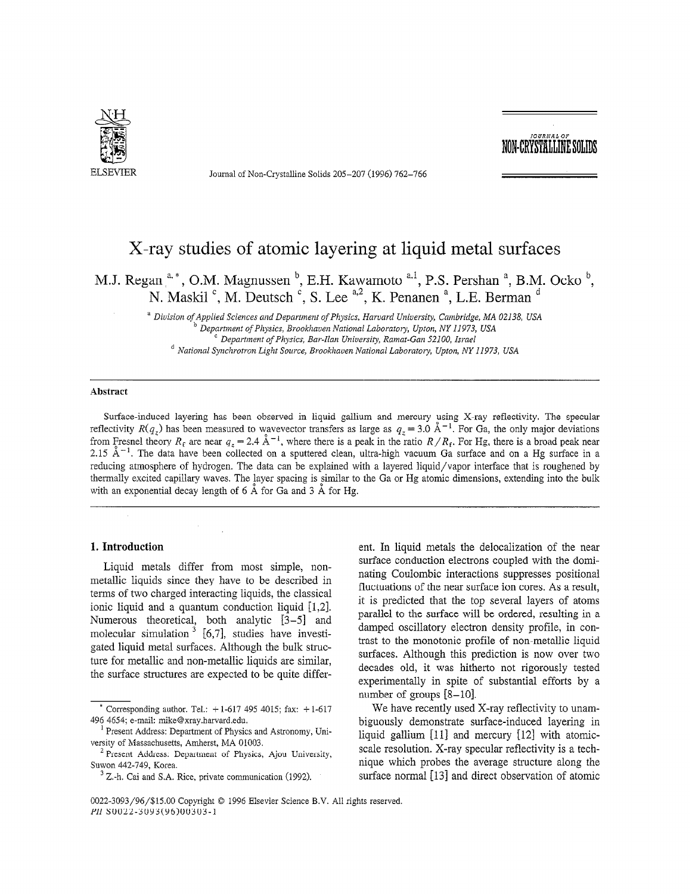

Journal of Non-Crystalline Solids 205-207 (1996) 762-766

## ,OURRAL OF NON-CRYSTALLINE SOL

# X-ray studies of atomic layering at liquid metal surfaces

M.J. Regan  $a^*$ , O.M. Magnussen  $b^*$ , E.H. Kawamoto  $a^*$ , P.S. Pershan  $a^*$ , B.M. Ocko  $b^*$ . N. Maskil  $\degree$ , M. Deutsch  $\degree$ , S. Lee  $\degree$ <sup>4,2</sup>, K. Penanen  $\degree$ , L.E. Berman  $\degree$ 

> <sup>a</sup> Division of Applied Sciences and Department of Physics, Harvard University, Cambridge, MA 02138, USA Department of Physics, Brookhaven National Laboratory, Upton, NY 11973, USA  $^{\circ}$  Department of Physics, Bar-Ilan University, Ramat-Gan 52100, Israel <sup>d</sup> National Synchrotron Light Source, Brookhaven National Laboratory, Upton, NY 11973, USA

#### Abstract

Surface-induced layering has been observed in liquid gallium and mercury using X-ray reflectivity. The specular reflectivity  $R(q_z)$  has been measured to wavevector transfers as large as  $q_z = 3.0 \text{ Å}^{-1}$ . For Ga, the only major deviations from Fresnel theory  $R_f$  are near  $q_z = 2.4 \text{ Å}^{-1}$ , where there is a peak in the ratio  $R/R_f$ . For Hg, there is a broad peak near 2.15  $\mathrm{A}^{-1}$ . The data have been collected on a sputtered clean, ultra-high vacuum Ga surface and on a Hg surface in a reducing atmosphere of hydrogen. The data can be explained with a layered liquid/vapor interface that is roughened by thermally excited capillary waves. The layer spacing is similar to the Ga or Hg atomic dimensions, extending into the bulk with an exponential decay length of  $6 \text{ Å}$  for Ga and  $3 \text{ Å}$  for Hg.

#### 1. Introduction

Liquid metals differ from most simple, nonmetallic liquids since they have to be described in terms of two charged interacting liquids, the classical ionic liquid and a quantum conduction liquid [1,2]. Numerous theoretical, both analytic [3-5] and molecular simulation  $3 \times 6,7$ , studies have investigated liquid metal surfaces. Although the bulk structure for metallic and non-metallic liquids are similar, the surface structures are expected to be quite different. In liquid metals the delocalization of the near surface conduction electrons coupled with the dominating Coulombic interactions suppresses positional fluctuations of the near surface ion cores. As a result, it is predicted that the top several layers of atoms parallel to the surface will be ordered, resulting in a damped oscillatory electron density profile, in contrast to the monotonic profile of non-metallic liquid surfaces. Although this prediction is now over two decades old, it was hitherto not rigorously tested experimentally in spite of substantial efforts by a number of groups  $[8-10]$ .

We have recently used X-ray reflectivity to unambiguously demonstrate surface-induced layering in liquid gallium  $[11]$  and mercury  $[12]$  with atomicscale resolution. X-ray specular reflectivity is a technique which probes the average structure along the surface normal [13] and direct observation of atomic

<sup>&#</sup>x27; Corresponding author. Tel.: + 1-617 495 4015; fax: + 1-617 495 4015; fax: + 1-617 495 4015; fax: + l-617 495 496 4654; e-mail: mike@xray.harvard.edu.  $\frac{1}{2}$  Present Address:  $\frac{1}{2}$  Physics and Astronomy, University and Astronomy, University and Astronomy, University and Astronomy, University and Astronomy, University and Astronomy, University and Astronomy, Unive

resent Address, Department of First can 2 Present Address Address, Andress, MA VIVO.<br>2

riesem Address. L Suwon 442-749, Korea.<br> $3$  Z.-h. Cai and S.A. Rice, private communication (1992).

 $0.22-30$  Copyright 0 1996 Elsevier Science B.V. All rights reserved. The served  $\sim$  $P(30, 20, 30)$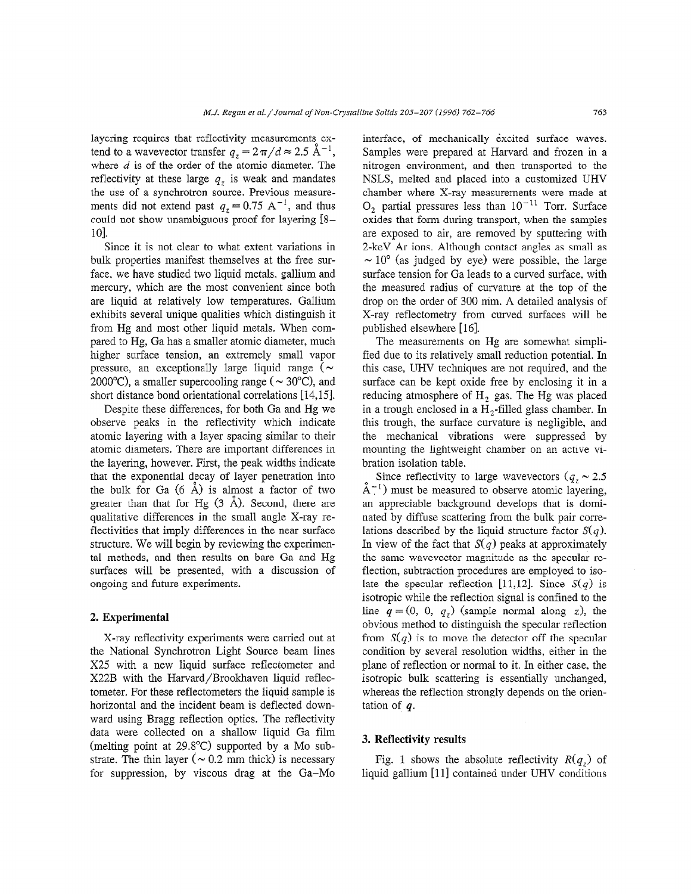layering requires that reflectivity measurements extend to a wavevector transfer  $q_z = 2\pi/d \approx 2.5 \text{ A}^{-1}$ , where  $d$  is of the order of the atomic diameter. The reflectivity at these large  $q<sub>z</sub>$  is weak and mandates the use of a synchrotron source. Previous measurements did not extend past  $q_7 = 0.75 \text{ A}^{-1}$ , and thus could not show unambiguous proof for layering [S-101.

Since it is not clear to what extent variations in bulk properties manifest themselves at the free surface, we have studied two liquid metals, gallium and mercury, which are the most convenient since both are liquid at relatively low temperatures. Gallium exhibits several unique qualities which distinguish it from Hg and most other liquid metals. When compared to Hg, Ga has a smaller atomic diameter, much higher surface tension, an extremely small vapor pressure, an exceptionally large liquid range ( $\sim$ 2000 °C), a smaller supercooling range ( $\sim$  30 °C), and short distance bond orientational correlations [14,15j.

Despite these differences, for both Ga and Hg we observe peaks in the reflectivity which indicate atomic layering with a layer spacing similar to their atomic diameters. There are important differences in the layering, however. First, the peak widths indicate that the exponential decay of layer penetration into the bulk for Ga  $(6 \text{ Å})$  is almost a factor of two greater than that for Hg  $(3 \text{ Å})$ . Second, there are qualitative differences in the small angle X-ray reflectivities that imply differences in the near surface structure. We will begin by reviewing the experimental methods, and then results on bare Ga and Hg surfaces will be presented, with a discussion of ongoing and future experiments.

#### 2. Experimental

X-ray reflectivity experiments were carried out at the National Synchrotron Light Source beam lines X25 with a new liquid surface reflectometer and X223 with the Harvard/Brookhaven liquid reflectometer. For these reflectometers the liquid sample is horizontal and the incident beam is deflected downward using Bragg reflection optics. The reflectivity data were collected on a shallow liquid Ga film  $($  melting point at 29.8%C) supported by a MO supported by a MO supported by a MO supported by a MO supported by a MO supported by a MO supported by a MO supported by a MO supported by a MO supported by a MO supported by  $\frac{1}{2}$  strategies (n  $\frac{1}{2}$  method is necessary in this necessary is necessary in the case of  $\frac{1}{2}$  method. strate. The thin layer ( $\sim 0.2$  mm thick) is necessary<br>for suppression, by viscous drag at the Ga-Mo interface, of mechanically excited surface waves. Samples were prepared at Harvard and frozen in a nitrogen environment, and then transported to the NSLS, melted and placed into a customized UHV chamber where X-ray measurements were made at  $O_2$  partial pressures less than  $10^{-11}$  Torr. Surface oxides that form during transport, when the samples are exposed to air, are removed by sputtering with 2-keV Ar ions. Although contact angles as small as  $\sim 10^{\circ}$  (as judged by eye) were possible, the large surface tension for Ga leads to a curved surface, with the measured radius of curvature at the top of the drop on the order of 300 mm. A detailed analysis of X-ray reflectometry from curved surfaces will be published elsewhere [16].

The measurements on Hg are somewhat simplified due to its relatively small reduction potential. In this case, UHV techniques are not required, and the surface can be kept oxide free by enclosing it in a reducing atmosphere of  $H<sub>2</sub>$  gas. The Hg was placed in a trough enclosed in a  $H_2$ -filled glass chamber. In this trough, the surface curvature is negligible, and the mechanical vibrations were suppressed by mounting the lightweight chamber on an active vibration isolation table.

Since reflectivity to large wavevectors ( $q_z \sim 2.5$ )  $\check{A}^{-1}$ ) must be measured to observe atomic layering, an appreciable background develops that is dominated by diffuse scattering from the bulk pair correlations described by the liquid structure factor  $S(q)$ . In view of the fact that  $S(q)$  peaks at approximately the same wavevector magnitude as the specular reflection, subtraction procedures are employed to isolate the specular reflection [11,12]. Since  $S(q)$  is isotropic while the reflection signal is confined to the line  $q = (0, 0, q<sub>z</sub>)$  (sample normal along z), the obvious method to distinguish the specular reflection from  $S(q)$  is to move the detector off the specular condition by several resolution widths, either in the plane of reflection or normal to it. In either case, the isotropic bulk scattering is essentially unchanged, whereas the reflection strongly depends on the orientation of  $q$ .

#### 3. Reflectivity results

 $\mathbf{F}^{\prime}$  absolute reflectivity  $\mathbf{F}^{\prime}$  shows the absolute reflectivity R(q,) of  $\mathbf{F}$  $\lim_{u \to 0}$  is shown the absolute functivity  $\lim_{u \to 0}$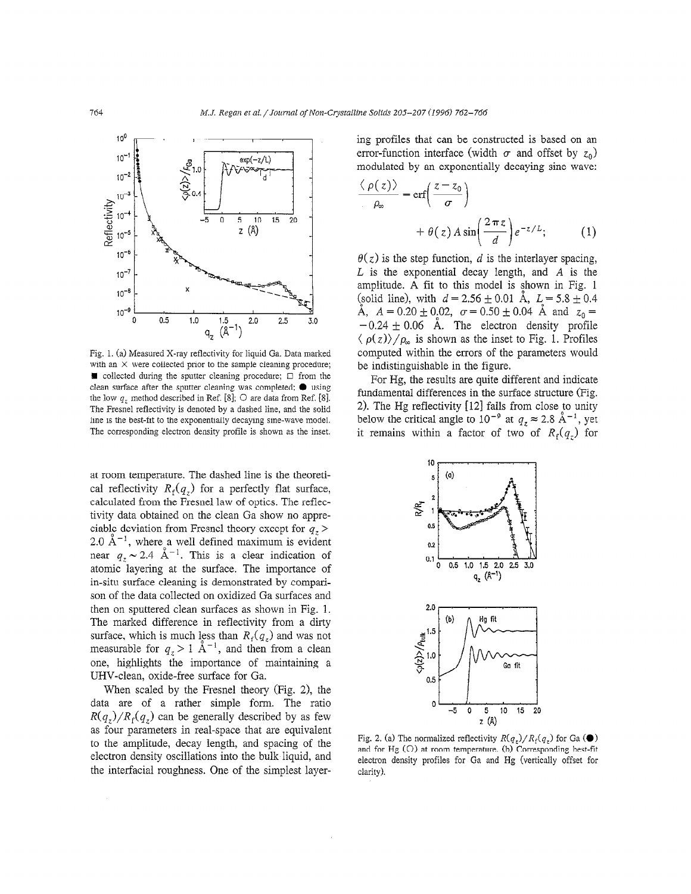

Fig. 1. (a) Measured X-ray reflectivity for liquid Ga. Data marked with an  $\times$  were collected prior to the sample cleaning procedure;  $\blacksquare$  collected during the sputter cleaning procedure;  $\Box$  from the clean surface after the sputter cleaning was completed;  $\bullet$  using the low  $q_r$ , method described in Ref. [8];  $\bigcirc$  are data from Ref. [8]. The Fresnel reflectivity is denoted by a dashed line, and the solid line is the best-fit to the exponentially decaying sine-wave model. The corresponding electron density profile is shown as the inset.

at room temperature. The dashed line is the theoretical reflectivity  $R_f(q_z)$  for a perfectly flat surface, calculated from the Fresnel law of optics. The reflectivity data obtained on the clean Ga show no appreciable deviation from Fresnel theory except for  $q_z$  >  $2.0 \times 1$ , where a well defined maximum is evident near  $q \approx 24$   $\lambda^{-1}$ . This is a clear indication of atomic layering at the surface. The importance of in-situ surface cleaning is demonstrated by comparison of the data collected on oxidized Ga surfaces and then on sputtered clean surfaces as shown in Fig. 1. The marked difference in reflectivity from a dirty surface, which is much less than  $B(x)$  and was not measurable for  $q \times 1$   $\lambda^{-1}$  and then from a clean one, highlights the importance of maintaining a UHV-clean, oxide-free surface for Ga.

When scaled by the Fresnel theory (Fig. 2), the data are of a rather simple form. The ratio  $R(q_z)/R_f(q_z)$  can be generally described by as few as four parameters in real-space that are equivalent to the amplitude, decay length, and spacing of the electron density oscillations into the bulk liquid, and the interfacial roughness. One of the simplest layering profiles that can be constructed is based on an error-function interface (width  $\sigma$  and offset by  $z_0$ ) modulated by an exponentially decaying sine wave:

$$
\frac{\langle \rho(z) \rangle}{\rho_{\infty}} = \text{erf}\left(\frac{z - z_0}{\sigma}\right)
$$

$$
+ \theta(z) A \sin\left(\frac{2\pi z}{d}\right) e^{-z/L}; \qquad (1)
$$

 $\theta(z)$  is the step function, d is the interlayer spacing,  $L$  is the exponential decay length, and  $A$  is the amplitude. A fit to this model is shown in Fig. 1 (solid line), with  $d = 2.56 \pm 0.01$  Å,  $L = 5.8 \pm 0.4$ Å,  $A = 0.20 \pm 0.02$ ,  $\sigma = 0.50 \pm 0.04$  Å and  $z_0 =$  $-0.24 \pm 0.06$  Å. The electron density profile  $\langle \rho(z) \rangle / \rho_{\infty}$  is shown as the inset to Fig. 1. Profiles computed within the errors of the parameters would be indistinguishable in the figure.

For Hg, the results are quite different and indicate fundamental differences in the surface structure (Fig. 2). The Hg reflectivity  $[12]$  falls from close to unity below the critical angle to  $10^{-9}$  at  $q_z \approx 2.8 \text{ Å}^{-1}$ , yet it remains within a factor of two of  $R_f(q_z)$  for



Fig. 2. (a) The normalized reflectivity  $R(q_t)/R_f(q_t)$  for Ga ( $\bullet$ ) and for Hg (0) at room temperature. (b) Corresponding best-fit electron density profiles for Ga and Hg (vertically offset for clarity).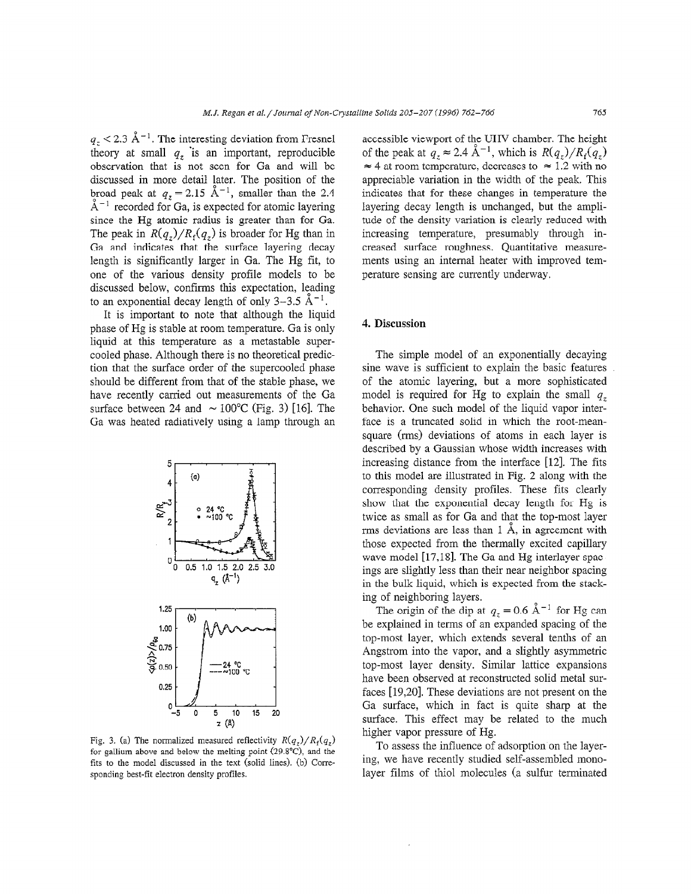$q_z < 2.3 \text{ Å}^{-1}$ . The interesting deviation from Fresnel theory at small  $q<sub>z</sub>$  is an important, reproducible observation that is not seen for Ga and will be discussed in more detail Later. The position of the broad peak at  $q_z = 2.15 \text{ Å}^{-1}$ , smaller than the 2.4  $A^{-1}$  recorded for Ga, is expected for atomic layering since the Hg atomic radius is greater than for Ga. The peak in  $R(q_z)/R_f(q_z)$  is broader for Hg than in Ga and indicates that the surface layering decay length is significantly larger in Ga. The Hg fit, to one of the various density profile models to be discussed below, confirms this expectation, leading to an exponential decay length of only  $3-3.5$   $\mathrm{\AA}^{-1}$ .

It is important to note that although the liquid phase of Hg is stable at room temperature. Ga is only liquid at this temperature as a metastable supercooled phase. Although there is no theoretical prediction that the surface order of the supercooled phase should be different from that of the stable phase, we have recently carried out measurements of the Ga surface between 24 and  $\sim 100^{\circ}$ C (Fig. 3) [16]. The Ga was heated radiatively using a lamp through an



 $f(g, \theta, \alpha)$  and holomometer measured remeating  $f(\frac{q}{2})$ ,  $f(\frac{q}{2})$ for gallium above and below the melting point ( $29.8^{\circ}$ C), and the fits to the model discussed in the text (solid lines). (b) Corresponding best-fit electron density profiles.

accessible viewport of the UHV chamber. The height of the peak at  $q_z \approx 2.4 \text{ Å}^{-1}$ , which is  $R(q_z)/R_f(q_z)$  $\approx$  4 at room temperature, decreases to  $\approx$  1.2 with no appreciable variation in the width of the peak. This indicates that for these changes in temperature the layering decay length is unchanged, but the amplitude of the density variation is clearly reduced with increasing temperature, presumably through increased surface roughness. Quantitative measurements using an internal heater with improved temperature sensing are currently underway.

### 4. Discussion

The simple model of an exponentially decaying sine wave is sufficient to explain the basic features of the atomic layering, but a more sophisticated model is required for Hg to explain the small  $q_z$ behavior. One such model of the liquid vapor interface is a truncated solid in which the root-meansquare (rms) deviations of atoms in each layer is described by a Gaussian whose width increases with increasing distance from the interface [12]. The fits to this model are illustrated in Fig. 2 along with the corresponding density profiles. These fits clearly show that the exponential decay length for Hg is twice as small as for Ga and that the top-most layer rms deviations are less than  $1 \text{ Å}$ , in agreement with those expected from the thermally excited capillary wave model [17,18]. The Ga and Hg interlayer spacings are slightly less than their near neighbor spacing in the bulk liquid, which is expected from the stacking of neighboring layers.

The origin of the dip at  $q_z = 0.6 \text{ Å}^{-1}$  for Hg can be explained in terms of an expanded spacing of the top-most layer, which extends several tenths of an Angstrom into the vapor, and a slightly asymmetric top-most layer density. Similar lattice expansions have been observed at reconstructed solid metal surfaces [19,20]. These deviations are not present on the Ga surface, which in fact is quite sharp at the  $\alpha$  surface, which in fact is quite sharp at the  $\alpha$ surface. This cried hay be

To vapor pressure of rig.<br>To assess the influence of adsorption is a layer-If assess the immedice of adsorption on the layering, we have recently studied self-assembled mono-<br>layer films of thiol molecules (a sulfur terminated